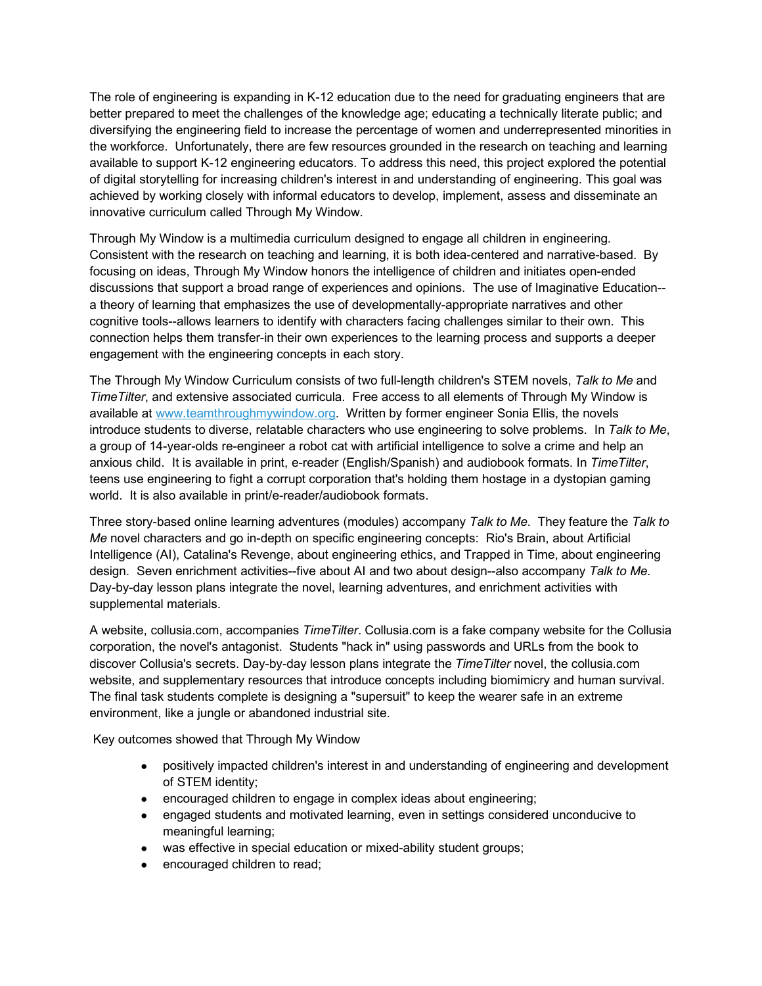The role of engineering is expanding in K-12 education due to the need for graduating engineers that are better prepared to meet the challenges of the knowledge age; educating a technically literate public; and diversifying the engineering field to increase the percentage of women and underrepresented minorities in the workforce. Unfortunately, there are few resources grounded in the research on teaching and learning available to support K-12 engineering educators. To address this need, this project explored the potential of digital storytelling for increasing children's interest in and understanding of engineering. This goal was achieved by working closely with informal educators to develop, implement, assess and disseminate an innovative curriculum called Through My Window.

Through My Window is a multimedia curriculum designed to engage all children in engineering. Consistent with the research on teaching and learning, it is both idea-centered and narrative-based. By focusing on ideas, Through My Window honors the intelligence of children and initiates open-ended discussions that support a broad range of experiences and opinions. The use of Imaginative Education- a theory of learning that emphasizes the use of developmentally-appropriate narratives and other cognitive tools--allows learners to identify with characters facing challenges similar to their own. This connection helps them transfer-in their own experiences to the learning process and supports a deeper engagement with the engineering concepts in each story.

The Through My Window Curriculum consists of two full-length children's STEM novels, *Talk to Me* and *TimeTilter*, and extensive associated curricula. Free access to all elements of Through My Window is available at www.teamthroughmywindow.org. Written by former engineer Sonia Ellis, the novels introduce students to diverse, relatable characters who use engineering to solve problems. In *Talk to Me*, a group of 14-year-olds re-engineer a robot cat with artificial intelligence to solve a crime and help an anxious child. It is available in print, e-reader (English/Spanish) and audiobook formats. In *TimeTilter*, teens use engineering to fight a corrupt corporation that's holding them hostage in a dystopian gaming world. It is also available in print/e-reader/audiobook formats.

Three story-based online learning adventures (modules) accompany *Talk to Me*. They feature the *Talk to Me* novel characters and go in-depth on specific engineering concepts: Rio's Brain, about Artificial Intelligence (AI), Catalina's Revenge, about engineering ethics, and Trapped in Time, about engineering design. Seven enrichment activities--five about AI and two about design--also accompany *Talk to Me*. Day-by-day lesson plans integrate the novel, learning adventures, and enrichment activities with supplemental materials.

A website, collusia.com, accompanies *TimeTilter*. Collusia.com is a fake company website for the Collusia corporation, the novel's antagonist. Students "hack in" using passwords and URLs from the book to discover Collusia's secrets. Day-by-day lesson plans integrate the *TimeTilter* novel, the collusia.com website, and supplementary resources that introduce concepts including biomimicry and human survival. The final task students complete is designing a "supersuit" to keep the wearer safe in an extreme environment, like a jungle or abandoned industrial site.

Key outcomes showed that Through My Window

- positively impacted children's interest in and understanding of engineering and development of STEM identity;
- encouraged children to engage in complex ideas about engineering;
- engaged students and motivated learning, even in settings considered unconducive to meaningful learning;
- was effective in special education or mixed-ability student groups;
- encouraged children to read;